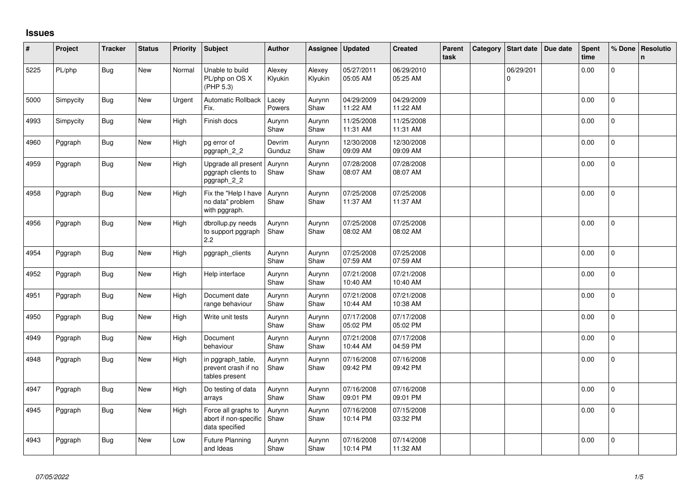## **Issues**

| #    | Project   | <b>Tracker</b> | <b>Status</b> | <b>Priority</b> | <b>Subject</b>                                                 | <b>Author</b>     | Assignee          | Updated                | <b>Created</b>         | Parent<br>task | Category | <b>Start date</b>     | Due date | Spent<br>time | % Done         | <b>Resolutio</b><br>$\mathsf{n}$ |
|------|-----------|----------------|---------------|-----------------|----------------------------------------------------------------|-------------------|-------------------|------------------------|------------------------|----------------|----------|-----------------------|----------|---------------|----------------|----------------------------------|
| 5225 | PL/php    | Bug            | New           | Normal          | Unable to build<br>PL/php on OS X<br>(PHP 5.3)                 | Alexey<br>Klyukin | Alexey<br>Klyukin | 05/27/2011<br>05:05 AM | 06/29/2010<br>05:25 AM |                |          | 06/29/201<br>$\Omega$ |          | 0.00          | $\overline{0}$ |                                  |
| 5000 | Simpycity | Bug            | New           | Urgent          | <b>Automatic Rollback</b><br>Fix.                              | Lacey<br>Powers   | Aurynn<br>Shaw    | 04/29/2009<br>11:22 AM | 04/29/2009<br>11:22 AM |                |          |                       |          | 0.00          | $\mathbf{0}$   |                                  |
| 4993 | Simpycity | <b>Bug</b>     | New           | High            | Finish docs                                                    | Aurynn<br>Shaw    | Aurynn<br>Shaw    | 11/25/2008<br>11:31 AM | 11/25/2008<br>11:31 AM |                |          |                       |          | 0.00          | $\mathbf 0$    |                                  |
| 4960 | Pggraph   | <b>Bug</b>     | New           | High            | pg error of<br>pggraph_2_2                                     | Devrim<br>Gunduz  | Aurynn<br>Shaw    | 12/30/2008<br>09:09 AM | 12/30/2008<br>09:09 AM |                |          |                       |          | 0.00          | $\mathbf{0}$   |                                  |
| 4959 | Pggraph   | Bug            | New           | High            | Upgrade all present<br>pggraph clients to<br>pggraph_2_2       | Aurynn<br>Shaw    | Aurynn<br>Shaw    | 07/28/2008<br>08:07 AM | 07/28/2008<br>08:07 AM |                |          |                       |          | 0.00          | $\overline{0}$ |                                  |
| 4958 | Pggraph   | Bug            | New           | High            | Fix the "Help I have<br>no data" problem<br>with pggraph.      | Aurynn<br>Shaw    | Aurynn<br>Shaw    | 07/25/2008<br>11:37 AM | 07/25/2008<br>11:37 AM |                |          |                       |          | 0.00          | $\mathbf{0}$   |                                  |
| 4956 | Pggraph   | <b>Bug</b>     | New           | High            | dbrollup.py needs<br>to support pggraph<br>2.2                 | Aurynn<br>Shaw    | Aurynn<br>Shaw    | 07/25/2008<br>08:02 AM | 07/25/2008<br>08:02 AM |                |          |                       |          | 0.00          | $\mathbf 0$    |                                  |
| 4954 | Pggraph   | Bug            | New           | High            | pggraph_clients                                                | Aurynn<br>Shaw    | Aurynn<br>Shaw    | 07/25/2008<br>07:59 AM | 07/25/2008<br>07:59 AM |                |          |                       |          | 0.00          | $\mathbf{0}$   |                                  |
| 4952 | Pggraph   | <b>Bug</b>     | New           | High            | Help interface                                                 | Aurynn<br>Shaw    | Aurynn<br>Shaw    | 07/21/2008<br>10:40 AM | 07/21/2008<br>10:40 AM |                |          |                       |          | 0.00          | $\mathbf{0}$   |                                  |
| 4951 | Pggraph   | Bug            | New           | High            | Document date<br>range behaviour                               | Aurynn<br>Shaw    | Aurynn<br>Shaw    | 07/21/2008<br>10:44 AM | 07/21/2008<br>10:38 AM |                |          |                       |          | 0.00          | $\mathbf{0}$   |                                  |
| 4950 | Pggraph   | <b>Bug</b>     | <b>New</b>    | High            | Write unit tests                                               | Aurynn<br>Shaw    | Aurynn<br>Shaw    | 07/17/2008<br>05:02 PM | 07/17/2008<br>05:02 PM |                |          |                       |          | 0.00          | $\Omega$       |                                  |
| 4949 | Pggraph   | <b>Bug</b>     | <b>New</b>    | High            | Document<br>behaviour                                          | Aurynn<br>Shaw    | Aurynn<br>Shaw    | 07/21/2008<br>10:44 AM | 07/17/2008<br>04:59 PM |                |          |                       |          | 0.00          | $\mathbf{0}$   |                                  |
| 4948 | Pggraph   | Bug            | <b>New</b>    | High            | in pggraph_table,<br>prevent crash if no<br>tables present     | Aurynn<br>Shaw    | Aurynn<br>Shaw    | 07/16/2008<br>09:42 PM | 07/16/2008<br>09:42 PM |                |          |                       |          | 0.00          | $\mathbf 0$    |                                  |
| 4947 | Pggraph   | Bug            | <b>New</b>    | High            | Do testing of data<br>arrays                                   | Aurynn<br>Shaw    | Aurynn<br>Shaw    | 07/16/2008<br>09:01 PM | 07/16/2008<br>09:01 PM |                |          |                       |          | 0.00          | $\Omega$       |                                  |
| 4945 | Pggraph   | Bug            | New           | High            | Force all graphs to<br>abort if non-specific<br>data specified | Aurynn<br>Shaw    | Aurynn<br>Shaw    | 07/16/2008<br>10:14 PM | 07/15/2008<br>03:32 PM |                |          |                       |          | 0.00          | $\mathbf 0$    |                                  |
| 4943 | Pggraph   | Bug            | New           | Low             | <b>Future Planning</b><br>and Ideas                            | Aurynn<br>Shaw    | Aurynn<br>Shaw    | 07/16/2008<br>10:14 PM | 07/14/2008<br>11:32 AM |                |          |                       |          | 0.00          | 0              |                                  |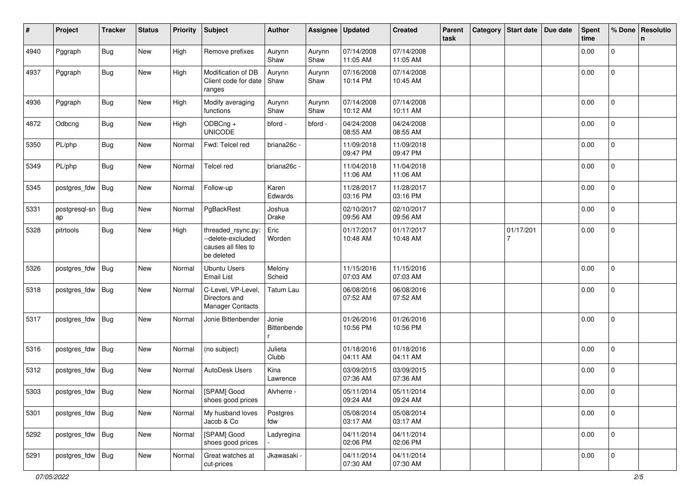| #    | Project             | <b>Tracker</b> | <b>Status</b> | <b>Priority</b> | <b>Subject</b>                                                               | <b>Author</b>        | Assignee       | <b>Updated</b>         | <b>Created</b>         | Parent<br>task | Category Start date | Due date | <b>Spent</b><br>time | % Done              | Resolutio<br>n. |
|------|---------------------|----------------|---------------|-----------------|------------------------------------------------------------------------------|----------------------|----------------|------------------------|------------------------|----------------|---------------------|----------|----------------------|---------------------|-----------------|
| 4940 | Pggraph             | Bug            | New           | High            | Remove prefixes                                                              | Aurynn<br>Shaw       | Aurynn<br>Shaw | 07/14/2008<br>11:05 AM | 07/14/2008<br>11:05 AM |                |                     |          | 0.00                 | 0                   |                 |
| 4937 | Pggraph             | Bug            | New           | High            | Modification of DB<br>Client code for date<br>ranges                         | Aurynn<br>Shaw       | Aurynn<br>Shaw | 07/16/2008<br>10:14 PM | 07/14/2008<br>10:45 AM |                |                     |          | 0.00                 | $\overline{0}$      |                 |
| 4936 | Pggraph             | <b>Bug</b>     | New           | High            | Modify averaging<br>functions                                                | Aurynn<br>Shaw       | Aurynn<br>Shaw | 07/14/2008<br>10:12 AM | 07/14/2008<br>10:11 AM |                |                     |          | 0.00                 | $\mathbf{0}$        |                 |
| 4872 | Odbcng              | <b>Bug</b>     | New           | High            | ODBCng +<br><b>UNICODE</b>                                                   | bford -              | bford -        | 04/24/2008<br>08:55 AM | 04/24/2008<br>08:55 AM |                |                     |          | 0.00                 | 0                   |                 |
| 5350 | PL/php              | <b>Bug</b>     | New           | Normal          | Fwd: Telcel red                                                              | briana26c -          |                | 11/09/2018<br>09:47 PM | 11/09/2018<br>09:47 PM |                |                     |          | 0.00                 | 0                   |                 |
| 5349 | PL/php              | <b>Bug</b>     | New           | Normal          | Telcel red                                                                   | briana26c -          |                | 11/04/2018<br>11:06 AM | 11/04/2018<br>11:06 AM |                |                     |          | 0.00                 | $\mathbf{0}$        |                 |
| 5345 | postgres_fdw        | <b>Bug</b>     | New           | Normal          | Follow-up                                                                    | Karen<br>Edwards     |                | 11/28/2017<br>03:16 PM | 11/28/2017<br>03:16 PM |                |                     |          | 0.00                 | $\overline{0}$      |                 |
| 5331 | postgresql-sn<br>ap | <b>Bug</b>     | New           | Normal          | PgBackRest                                                                   | Joshua<br>Drake      |                | 02/10/2017<br>09:56 AM | 02/10/2017<br>09:56 AM |                |                     |          | 0.00                 | $\mathbf 0$         |                 |
| 5328 | pitrtools           | <b>Bug</b>     | New           | High            | threaded_rsync.py:<br>--delete-excluded<br>causes all files to<br>be deleted | Eric<br>Worden       |                | 01/17/2017<br>10:48 AM | 01/17/2017<br>10:48 AM |                | 01/17/201<br>7      |          | 0.00                 | $\mathbf 0$         |                 |
| 5326 | postgres_fdw        | Bug            | New           | Normal          | <b>Ubuntu Users</b><br><b>Email List</b>                                     | Melony<br>Scheid     |                | 11/15/2016<br>07:03 AM | 11/15/2016<br>07:03 AM |                |                     |          | 0.00                 | 0                   |                 |
| 5318 | postgres_fdw        | Bug            | New           | Normal          | C-Level, VP-Level,<br>Directors and<br><b>Manager Contacts</b>               | <b>Tatum Lau</b>     |                | 06/08/2016<br>07:52 AM | 06/08/2016<br>07:52 AM |                |                     |          | 0.00                 | $\mathbf 0$         |                 |
| 5317 | postgres_fdw        | Bug            | New           | Normal          | Jonie Bittenbender                                                           | Jonie<br>Bittenbende |                | 01/26/2016<br>10:56 PM | 01/26/2016<br>10:56 PM |                |                     |          | 0.00                 | $\mathbf 0$         |                 |
| 5316 | postgres_fdw        | Bug            | New           | Normal          | (no subject)                                                                 | Julieta<br>Clubb     |                | 01/18/2016<br>04:11 AM | 01/18/2016<br>04:11 AM |                |                     |          | 0.00                 | $\mathbf 0$         |                 |
| 5312 | postgres_fdw        | Bug            | New           | Normal          | AutoDesk Users                                                               | Kina<br>Lawrence     |                | 03/09/2015<br>07:36 AM | 03/09/2015<br>07:36 AM |                |                     |          | 0.00                 | $\mathbf 0$         |                 |
| 5303 | postgres_fdw Bug    |                | New           | Normal          | [SPAM] Good<br>shoes good prices                                             | Alvherre -           |                | 05/11/2014<br>09:24 AM | 05/11/2014<br>09:24 AM |                |                     |          | 0.00                 | 0                   |                 |
| 5301 | postgres_fdw        | Bug            | New           | Normal          | My husband loves<br>Jacob & Co                                               | Postgres<br>fdw      |                | 05/08/2014<br>03:17 AM | 05/08/2014<br>03:17 AM |                |                     |          | 0.00                 | 0                   |                 |
| 5292 | postgres_fdw        | <b>Bug</b>     | New           | Normal          | [SPAM] Good<br>shoes good prices                                             | Ladyregina           |                | 04/11/2014<br>02:06 PM | 04/11/2014<br>02:06 PM |                |                     |          | 0.00                 | $\mathsf{O}\xspace$ |                 |
| 5291 | postgres_fdw Bug    |                | New           | Normal          | Great watches at<br>cut-prices                                               | Jkawasaki -          |                | 04/11/2014<br>07:30 AM | 04/11/2014<br>07:30 AM |                |                     |          | 0.00                 | $\mathsf{O}\xspace$ |                 |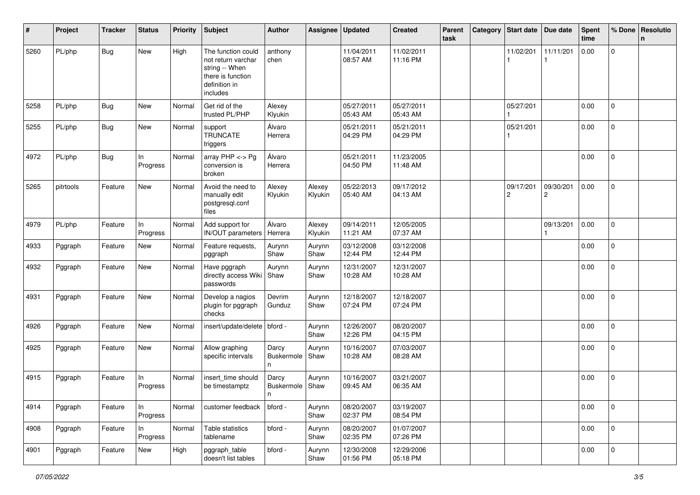| #    | Project   | <b>Tracker</b> | <b>Status</b>   | <b>Priority</b> | <b>Subject</b>                                                                                               | <b>Author</b>             | Assignee          | <b>Updated</b>         | <b>Created</b>         | Parent<br>task | Category Start date         | Due date                    | <b>Spent</b><br>time | % Done              | Resolutio<br>n |
|------|-----------|----------------|-----------------|-----------------|--------------------------------------------------------------------------------------------------------------|---------------------------|-------------------|------------------------|------------------------|----------------|-----------------------------|-----------------------------|----------------------|---------------------|----------------|
| 5260 | PL/php    | Bug            | New             | High            | The function could<br>not return varchar<br>string -- When<br>there is function<br>definition in<br>includes | anthony<br>chen           |                   | 11/04/2011<br>08:57 AM | 11/02/2011<br>11:16 PM |                | 11/02/201                   | 11/11/201                   | 0.00                 | $\overline{0}$      |                |
| 5258 | PL/php    | <b>Bug</b>     | <b>New</b>      | Normal          | Get rid of the<br>trusted PL/PHP                                                                             | Alexey<br>Klyukin         |                   | 05/27/2011<br>05:43 AM | 05/27/2011<br>05:43 AM |                | 05/27/201                   |                             | 0.00                 | $\overline{0}$      |                |
| 5255 | PL/php    | <b>Bug</b>     | New             | Normal          | support<br><b>TRUNCATE</b><br>triggers                                                                       | Álvaro<br>Herrera         |                   | 05/21/2011<br>04:29 PM | 05/21/2011<br>04:29 PM |                | 05/21/201                   |                             | 0.00                 | 0                   |                |
| 4972 | PL/php    | Bug            | In.<br>Progress | Normal          | array $PHP \lt\gt P$ g<br>conversion is<br>broken                                                            | Álvaro<br>Herrera         |                   | 05/21/2011<br>04:50 PM | 11/23/2005<br>11:48 AM |                |                             |                             | 0.00                 | $\Omega$            |                |
| 5265 | pitrtools | Feature        | New             | Normal          | Avoid the need to<br>manually edit<br>postgresql.conf<br>files                                               | Alexey<br>Klyukin         | Alexey<br>Klyukin | 05/22/2013<br>05:40 AM | 09/17/2012<br>04:13 AM |                | 09/17/201<br>$\overline{c}$ | 09/30/201<br>$\overline{2}$ | 0.00                 | $\mathbf{0}$        |                |
| 4979 | PL/php    | Feature        | In<br>Progress  | Normal          | Add support for<br>IN/OUT parameters                                                                         | Álvaro<br>Herrera         | Alexey<br>Klyukin | 09/14/2011<br>11:21 AM | 12/05/2005<br>07:37 AM |                |                             | 09/13/201                   | 0.00                 | $\overline{0}$      |                |
| 4933 | Pggraph   | Feature        | New             | Normal          | Feature requests,<br>pggraph                                                                                 | Aurynn<br>Shaw            | Aurynn<br>Shaw    | 03/12/2008<br>12:44 PM | 03/12/2008<br>12:44 PM |                |                             |                             | 0.00                 | $\mathbf{0}$        |                |
| 4932 | Pggraph   | Feature        | New             | Normal          | Have pggraph<br>directly access Wiki<br>passwords                                                            | Aurynn<br>Shaw            | Aurynn<br>Shaw    | 12/31/2007<br>10:28 AM | 12/31/2007<br>10:28 AM |                |                             |                             | 0.00                 | $\overline{0}$      |                |
| 4931 | Pggraph   | Feature        | New             | Normal          | Develop a nagios<br>plugin for pggraph<br>checks                                                             | Devrim<br>Gunduz          | Aurynn<br>Shaw    | 12/18/2007<br>07:24 PM | 12/18/2007<br>07:24 PM |                |                             |                             | 0.00                 | 0                   |                |
| 4926 | Pggraph   | Feature        | New             | Normal          | insert/update/delete   bford -                                                                               |                           | Aurynn<br>Shaw    | 12/26/2007<br>12:26 PM | 08/20/2007<br>04:15 PM |                |                             |                             | 0.00                 | $\Omega$            |                |
| 4925 | Pggraph   | Feature        | New             | Normal          | Allow graphing<br>specific intervals                                                                         | Darcy<br>Buskermole<br>n. | Aurynn<br>Shaw    | 10/16/2007<br>10:28 AM | 07/03/2007<br>08:28 AM |                |                             |                             | 0.00                 | $\overline{0}$      |                |
| 4915 | Pggraph   | Feature        | In<br>Progress  | Normal          | insert time should<br>be timestamptz                                                                         | Darcy<br>Buskermole<br>n  | Aurynn<br>Shaw    | 10/16/2007<br>09:45 AM | 03/21/2007<br>06:35 AM |                |                             |                             | 0.00                 | 0                   |                |
| 4914 | Pggraph   | Feature        | In<br>Progress  | Normal          | customer feedback                                                                                            | bford -                   | Aurynn<br>Shaw    | 08/20/2007<br>02:37 PM | 03/19/2007<br>08:54 PM |                |                             |                             | 0.00                 | $\mathbf 0$         |                |
| 4908 | Pggraph   | Feature        | In<br>Progress  | Normal          | Table statistics<br>tablename                                                                                | bford -                   | Aurynn<br>Shaw    | 08/20/2007<br>02:35 PM | 01/07/2007<br>07:26 PM |                |                             |                             | 0.00                 | $\mathbf 0$         |                |
| 4901 | Pggraph   | Feature        | New             | High            | pggraph_table<br>doesn't list tables                                                                         | bford -                   | Aurynn<br>Shaw    | 12/30/2008<br>01:56 PM | 12/29/2006<br>05:18 PM |                |                             |                             | 0.00                 | $\mathsf{O}\xspace$ |                |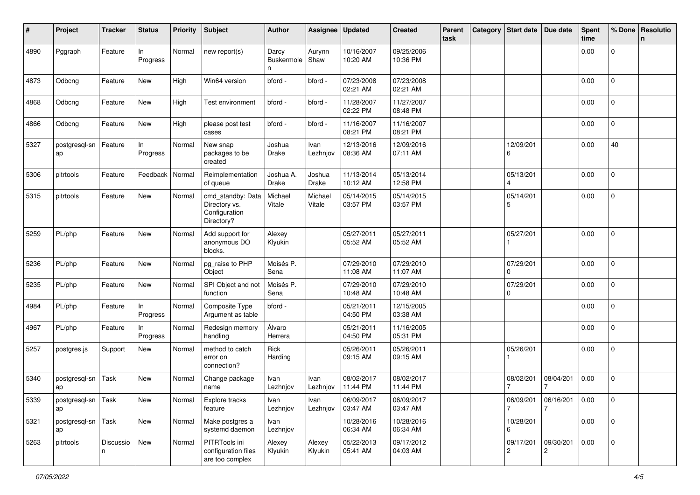| #    | Project                    | <b>Tracker</b> | <b>Status</b>  | <b>Priority</b> | <b>Subject</b>                                                    | <b>Author</b>            | Assignee          | <b>Updated</b>         | <b>Created</b>         | Parent<br>task | Category | Start date                  | Due date       | <b>Spent</b><br>time | % Done         | Resolutio<br>n |
|------|----------------------------|----------------|----------------|-----------------|-------------------------------------------------------------------|--------------------------|-------------------|------------------------|------------------------|----------------|----------|-----------------------------|----------------|----------------------|----------------|----------------|
| 4890 | Pggraph                    | Feature        | In<br>Progress | Normal          | new report(s)                                                     | Darcy<br>Buskermole<br>n | Aurynn<br>Shaw    | 10/16/2007<br>10:20 AM | 09/25/2006<br>10:36 PM |                |          |                             |                | 0.00                 | $\mathbf 0$    |                |
| 4873 | Odbcng                     | Feature        | New            | High            | Win64 version                                                     | bford -                  | bford -           | 07/23/2008<br>02:21 AM | 07/23/2008<br>02:21 AM |                |          |                             |                | 0.00                 | $\overline{0}$ |                |
| 4868 | Odbcng                     | Feature        | New            | High            | Test environment                                                  | bford -                  | bford -           | 11/28/2007<br>02:22 PM | 11/27/2007<br>08:48 PM |                |          |                             |                | 0.00                 | $\mathbf 0$    |                |
| 4866 | Odbcng                     | Feature        | New            | High            | please post test<br>cases                                         | bford -                  | bford -           | 11/16/2007<br>08:21 PM | 11/16/2007<br>08:21 PM |                |          |                             |                | 0.00                 | 0              |                |
| 5327 | postgresgl-sn<br>ap        | Feature        | In<br>Progress | Normal          | New snap<br>packages to be<br>created                             | Joshua<br>Drake          | Ivan<br>Lezhnjov  | 12/13/2016<br>08:36 AM | 12/09/2016<br>07:11 AM |                |          | 12/09/201<br>6              |                | 0.00                 | 40             |                |
| 5306 | pitrtools                  | Feature        | Feedback       | Normal          | Reimplementation<br>of queue                                      | Joshua A.<br>Drake       | Joshua<br>Drake   | 11/13/2014<br>10:12 AM | 05/13/2014<br>12:58 PM |                |          | 05/13/201                   |                | 0.00                 | 0              |                |
| 5315 | pitrtools                  | Feature        | New            | Normal          | cmd_standby: Data<br>Directory vs.<br>Configuration<br>Directory? | Michael<br>Vitale        | Michael<br>Vitale | 05/14/2015<br>03:57 PM | 05/14/2015<br>03:57 PM |                |          | 05/14/201<br>5              |                | 0.00                 | $\mathbf 0$    |                |
| 5259 | PL/php                     | Feature        | New            | Normal          | Add support for<br>anonymous DO<br>blocks.                        | Alexey<br>Klyukin        |                   | 05/27/2011<br>05:52 AM | 05/27/2011<br>05:52 AM |                |          | 05/27/201                   |                | 0.00                 | 0              |                |
| 5236 | PL/php                     | Feature        | <b>New</b>     | Normal          | pg_raise to PHP<br>Object                                         | Moisés P.<br>Sena        |                   | 07/29/2010<br>11:08 AM | 07/29/2010<br>11:07 AM |                |          | 07/29/201<br>$\Omega$       |                | 0.00                 | $\Omega$       |                |
| 5235 | PL/php                     | Feature        | New            | Normal          | SPI Object and not<br>function                                    | Moisés P.<br>Sena        |                   | 07/29/2010<br>10:48 AM | 07/29/2010<br>10:48 AM |                |          | 07/29/201<br>0              |                | 0.00                 | $\mathbf 0$    |                |
| 4984 | PL/php                     | Feature        | In<br>Progress | Normal          | Composite Type<br>Argument as table                               | bford -                  |                   | 05/21/2011<br>04:50 PM | 12/15/2005<br>03:38 AM |                |          |                             |                | 0.00                 | $\mathbf 0$    |                |
| 4967 | PL/php                     | Feature        | In<br>Progress | Normal          | Redesign memory<br>handling                                       | Álvaro<br>Herrera        |                   | 05/21/2011<br>04:50 PM | 11/16/2005<br>05:31 PM |                |          |                             |                | 0.00                 | $\mathbf 0$    |                |
| 5257 | postgres.js                | Support        | New            | Normal          | method to catch<br>error on<br>connection?                        | Rick<br>Harding          |                   | 05/26/2011<br>09:15 AM | 05/26/2011<br>09:15 AM |                |          | 05/26/201                   |                | 0.00                 | $\mathbf 0$    |                |
| 5340 | postgresql-sn<br>ap        | Task           | New            | Normal          | Change package<br>name                                            | Ivan<br>Lezhnjov         | Ivan<br>Lezhnjov  | 08/02/2017<br>11:44 PM | 08/02/2017<br>11:44 PM |                |          | 08/02/201                   | 08/04/201      | 0.00                 | 0              |                |
| 5339 | postgresql-sn   Task<br>ap |                | New            | Normal          | Explore tracks<br>feature                                         | Ivan<br>Lezhnjov         | Ivan<br>Lezhnjov  | 06/09/2017<br>03:47 AM | 06/09/2017<br>03:47 AM |                |          | 06/09/201<br>$\overline{7}$ | 06/16/201<br>7 | $\vert$ 0.00         | 0              |                |
| 5321 | postgresql-sn   Task<br>ap |                | New            | Normal          | Make postgres a<br>systemd daemon                                 | Ivan<br>Lezhnjov         |                   | 10/28/2016<br>06:34 AM | 10/28/2016<br>06:34 AM |                |          | 10/28/201<br>6              |                | 0.00                 | $\overline{0}$ |                |
| 5263 | pitrtools                  | Discussio<br>n | New            | Normal          | PITRTools ini<br>configuration files<br>are too complex           | Alexey<br>Klyukin        | Alexey<br>Klyukin | 05/22/2013<br>05:41 AM | 09/17/2012<br>04:03 AM |                |          | 09/17/201<br>$\overline{c}$ | 09/30/201<br>2 | 0.00                 | $\mathbf 0$    |                |